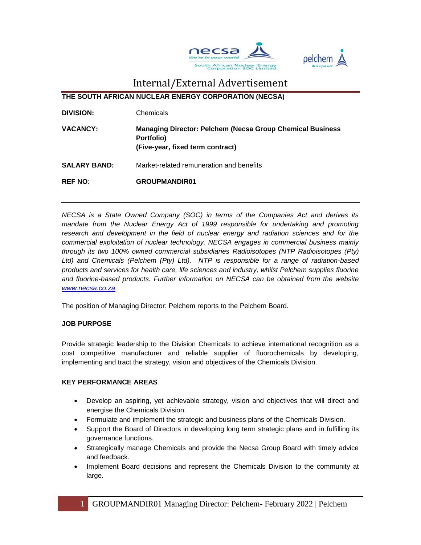



**THE SOUTH AFRICAN NUCLEAR ENERGY CORPORATION (NECSA)**

- **DIVISION:** Chemicals
- **VACANCY: Managing Director: Pelchem (Necsa Group Chemical Business Portfolio) (Five-year, fixed term contract)**
- **SALARY BAND:** Market-related remuneration and benefits

**REF NO: GROUPMANDIR01**

*NECSA is a State Owned Company (SOC) in terms of the Companies Act and derives its mandate from the Nuclear Energy Act of 1999 responsible for undertaking and promoting research and development in the field of nuclear energy and radiation sciences and for the commercial exploitation of nuclear technology. NECSA engages in commercial business mainly through its two 100% owned commercial subsidiaries Radioisotopes (NTP Radioisotopes (Pty) Ltd) and Chemicals (Pelchem (Pty) Ltd). NTP is responsible for a range of radiation-based products and services for health care, life sciences and industry, whilst Pelchem supplies fluorine and fluorine-based products. Further information on NECSA can be obtained from the website [www.necsa.co.za.](http://www.necsa.co.za/)* 

The position of Managing Director: Pelchem reports to the Pelchem Board.

### **JOB PURPOSE**

Provide strategic leadership to the Division Chemicals to achieve international recognition as a cost competitive manufacturer and reliable supplier of fluorochemicals by developing, implementing and tract the strategy, vision and objectives of the Chemicals Division.

#### **KEY PERFORMANCE AREAS**

- Develop an aspiring, yet achievable strategy, vision and objectives that will direct and energise the Chemicals Division.
- Formulate and implement the strategic and business plans of the Chemicals Division.
- Support the Board of Directors in developing long term strategic plans and in fulfilling its governance functions.
- Strategically manage Chemicals and provide the Necsa Group Board with timely advice and feedback.
- Implement Board decisions and represent the Chemicals Division to the community at large.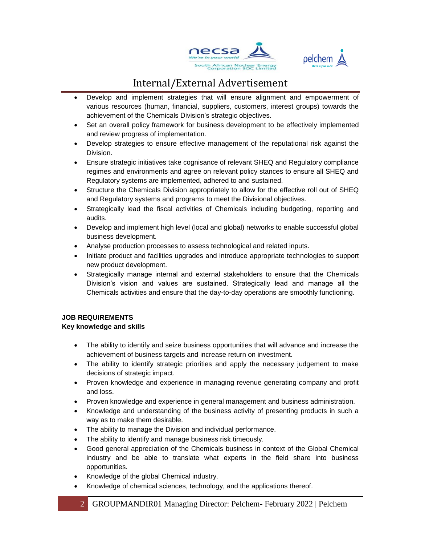



- Develop and implement strategies that will ensure alignment and empowerment of various resources (human, financial, suppliers, customers, interest groups) towards the achievement of the Chemicals Division's strategic objectives.
- Set an overall policy framework for business development to be effectively implemented and review progress of implementation.
- Develop strategies to ensure effective management of the reputational risk against the Division.
- Ensure strategic initiatives take cognisance of relevant SHEQ and Regulatory compliance regimes and environments and agree on relevant policy stances to ensure all SHEQ and Regulatory systems are implemented, adhered to and sustained.
- Structure the Chemicals Division appropriately to allow for the effective roll out of SHEQ and Regulatory systems and programs to meet the Divisional objectives.
- Strategically lead the fiscal activities of Chemicals including budgeting, reporting and audits.
- Develop and implement high level (local and global) networks to enable successful global business development.
- Analyse production processes to assess technological and related inputs.
- Initiate product and facilities upgrades and introduce appropriate technologies to support new product development.
- Strategically manage internal and external stakeholders to ensure that the Chemicals Division's vision and values are sustained. Strategically lead and manage all the Chemicals activities and ensure that the day-to-day operations are smoothly functioning.

### **JOB REQUIREMENTS**

### **Key knowledge and skills**

- The ability to identify and seize business opportunities that will advance and increase the achievement of business targets and increase return on investment.
- The ability to identify strategic priorities and apply the necessary judgement to make decisions of strategic impact.
- Proven knowledge and experience in managing revenue generating company and profit and loss.
- Proven knowledge and experience in general management and business administration.
- Knowledge and understanding of the business activity of presenting products in such a way as to make them desirable.
- The ability to manage the Division and individual performance.
- The ability to identify and manage business risk timeously.
- Good general appreciation of the Chemicals business in context of the Global Chemical industry and be able to translate what experts in the field share into business opportunities.
- Knowledge of the global Chemical industry.
- Knowledge of chemical sciences, technology, and the applications thereof.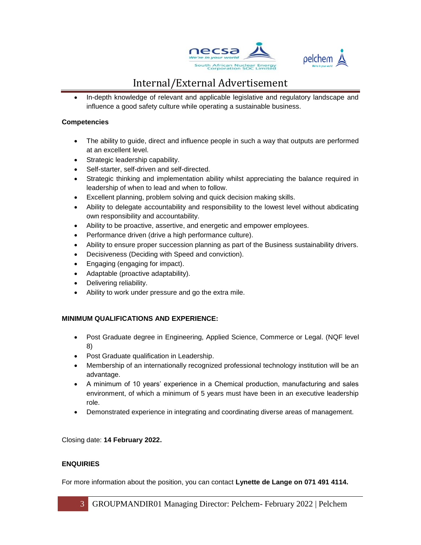



• In-depth knowledge of relevant and applicable legislative and regulatory landscape and influence a good safety culture while operating a sustainable business.

#### **Competencies**

- The ability to guide, direct and influence people in such a way that outputs are performed at an excellent level.
- Strategic leadership capability.
- Self-starter, self-driven and self-directed.
- Strategic thinking and implementation ability whilst appreciating the balance required in leadership of when to lead and when to follow.
- Excellent planning, problem solving and quick decision making skills.
- Ability to delegate accountability and responsibility to the lowest level without abdicating own responsibility and accountability.
- Ability to be proactive, assertive, and energetic and empower employees.
- Performance driven (drive a high performance culture).
- Ability to ensure proper succession planning as part of the Business sustainability drivers.
- Decisiveness (Deciding with Speed and conviction).
- Engaging (engaging for impact).
- Adaptable (proactive adaptability).
- Delivering reliability.
- Ability to work under pressure and go the extra mile.

### **MINIMUM QUALIFICATIONS AND EXPERIENCE:**

- Post Graduate degree in Engineering, Applied Science, Commerce or Legal. (NQF level 8)
- Post Graduate qualification in Leadership.
- Membership of an internationally recognized professional technology institution will be an advantage.
- A minimum of 10 years' experience in a Chemical production, manufacturing and sales environment, of which a minimum of 5 years must have been in an executive leadership role.
- Demonstrated experience in integrating and coordinating diverse areas of management.

Closing date: **14 February 2022.**

### **ENQUIRIES**

For more information about the position, you can contact **Lynette de Lange on 071 491 4114.**